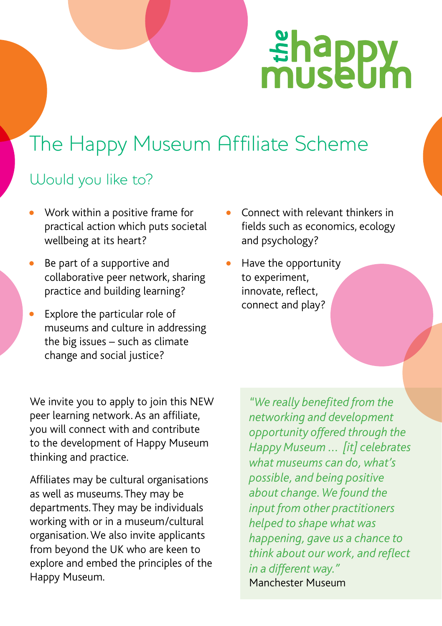# **shappy**<br>museum

# The Happy Museum Affiliate Scheme

## Would you like to?

- Work within a positive frame for practical action which puts societal wellbeing at its heart?
- Be part of a supportive and collaborative peer network, sharing practice and building learning?
- Explore the particular role of museums and culture in addressing the big issues – such as climate change and social justice?

We invite you to apply to join this NEW peer learning network. As an affiliate, you will connect with and contribute to the development of Happy Museum thinking and practice.

Affiliates may be cultural organisations as well as museums. They may be departments. They may be individuals working with or in a museum/cultural organisation.We also invite applicants from beyond the UK who are keen to explore and embed the principles of the Happy Museum.

- Connect with relevant thinkers in fields such as economics, ecology and psychology?
- Have the opportunity to experiment, innovate, reflect, connect and play?

*"We really benefited from the networking and development opportunity offered through the Happy Museum ... [it] celebrates what museums can do, what's possible, and being positive about change. We found the input from other practitioners helped to shape what was happening, gave us a chance to think about our work, and reflect in a different way."*  Manchester Museum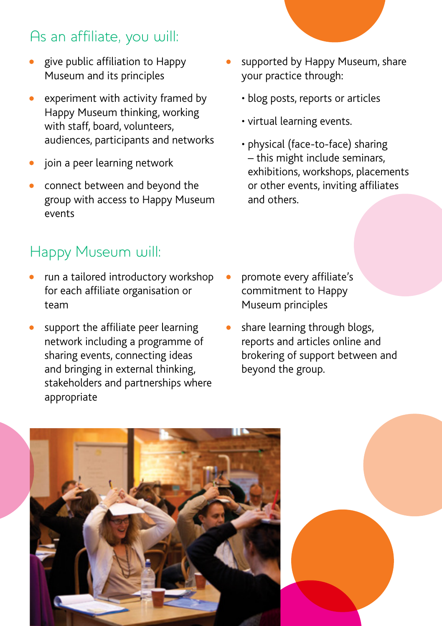## As an affiliate, you will:

- give public affiliation to Happy Museum and its principles
- experiment with activity framed by Happy Museum thinking, working with staff, board, volunteers, audiences, participants and networks
- join a peer learning network
- connect between and beyond the group with access to Happy Museum events

## Happy Museum will:

- run a tailored introductory workshop for each affiliate organisation or team
- support the affiliate peer learning network including a programme of sharing events, connecting ideas and bringing in external thinking, stakeholders and partnerships where appropriate
- supported by Happy Museum, share your practice through:
	- blog posts, reports or articles
	- virtual learning events.
	- physical (face-to-face) sharing – this might include seminars, exhibitions, workshops, placements or other events, inviting affiliates and others.

- promote every affiliate's commitment to Happy Museum principles
- share learning through blogs, reports and articles online and brokering of support between and beyond the group.

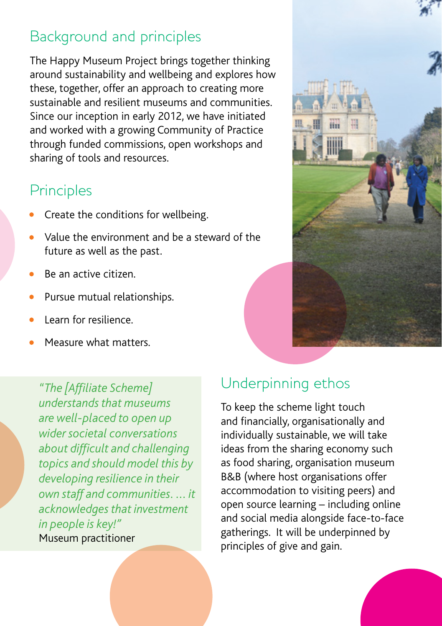#### Background and principles

The Happy Museum Project brings together thinking around sustainability and wellbeing and explores how these, together, offer an approach to creating more sustainable and resilient museums and communities. Since our inception in early 2012, we have initiated and worked with a growing Community of Practice through funded commissions, open workshops and sharing of tools and resources.

#### **Principles**

- Create the conditions for wellbeing.
- Value the environment and be a steward of the future as well as the past.
- Be an active citizen.
- Pursue mutual relationships.
- Learn for resilience.
- Measure what matters.

*"The [Affiliate Scheme] understands that museums are well-placed to open up wider societal conversations about difficult and challenging topics and should model this by developing resilience in their own staff and communities. ... it acknowledges that investment in people is key!"*  Museum practitioner

#### Underpinning ethos

To keep the scheme light touch and financially, organisationally and individually sustainable, we will take ideas from the sharing economy such as food sharing, organisation museum B&B (where host organisations offer accommodation to visiting peers) and open source learning – including online and social media alongside face-to-face gatherings. It will be underpinned by principles of give and gain.

期  $\overline{m}$